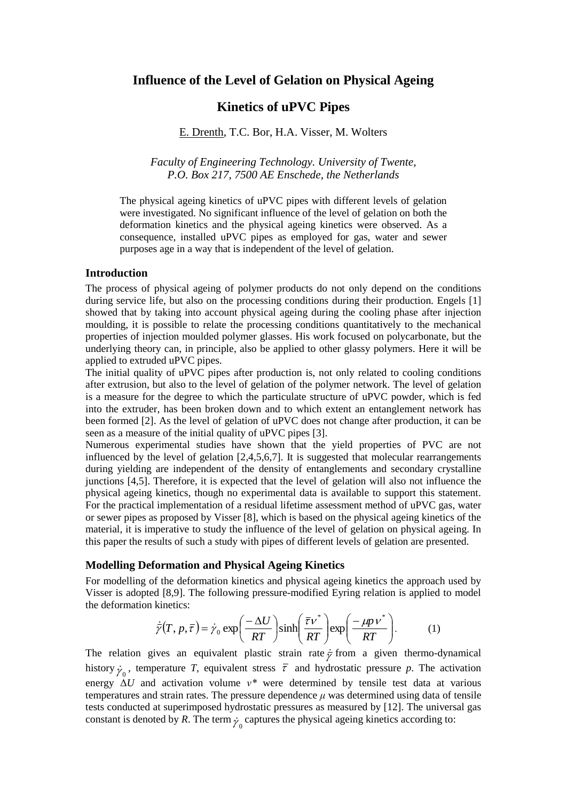# **Influence of the Level of Gelation on Physical Ageing**

# **Kinetics of uPVC Pipes**

## E. Drenth, T.C. Bor, H.A. Visser, M. Wolters

*Faculty of Engineering Technology. University of Twente, P.O. Box 217, 7500 AE Enschede, the Netherlands*

The physical ageing kinetics of uPVC pipes with different levels of gelation were investigated. No significant influence of the level of gelation on both the deformation kinetics and the physical ageing kinetics were observed. As a consequence, installed uPVC pipes as employed for gas, water and sewer purposes age in a way that is independent of the level of gelation.

## **Introduction**

The process of physical ageing of polymer products do not only depend on the conditions during service life, but also on the processing conditions during their production. Engels [1] showed that by taking into account physical ageing during the cooling phase after injection moulding, it is possible to relate the processing conditions quantitatively to the mechanical properties of injection moulded polymer glasses. His work focused on polycarbonate, but the underlying theory can, in principle, also be applied to other glassy polymers. Here it will be applied to extruded uPVC pipes.

The initial quality of uPVC pipes after production is, not only related to cooling conditions after extrusion, but also to the level of gelation of the polymer network. The level of gelation is a measure for the degree to which the particulate structure of uPVC powder, which is fed into the extruder, has been broken down and to which extent an entanglement network has been formed [2]. As the level of gelation of uPVC does not change after production, it can be seen as a measure of the initial quality of uPVC pipes [3].

Numerous experimental studies have shown that the yield properties of PVC are not influenced by the level of gelation [2,4,5,6,7]. It is suggested that molecular rearrangements during yielding are independent of the density of entanglements and secondary crystalline junctions [4,5]. Therefore, it is expected that the level of gelation will also not influence the physical ageing kinetics, though no experimental data is available to support this statement. For the practical implementation of a residual lifetime assessment method of uPVC gas, water or sewer pipes as proposed by Visser [8], which is based on the physical ageing kinetics of the material, it is imperative to study the influence of the level of gelation on physical ageing. In this paper the results of such a study with pipes of different levels of gelation are presented.

#### **Modelling Deformation and Physical Ageing Kinetics**

For modelling of the deformation kinetics and physical ageing kinetics the approach used by Visser is adopted [8,9]. The following pressure-modified Eyring relation is applied to model the deformation kinetics:

$$
\dot{\overline{\gamma}}(T, p, \overline{\tau}) = \dot{\gamma}_0 \exp\left(\frac{-\Delta U}{RT}\right) \sinh\left(\frac{\overline{\tau}v^*}{RT}\right) \exp\left(\frac{-\mu p v^*}{RT}\right). \tag{1}
$$

The relation gives an equivalent plastic strain rate  $\dot{\bar{z}}$  from a given thermo-dynamical history  $\dot{\gamma}_0$ , temperature *T*, equivalent stress  $\bar{\tau}$  and hydrostatic pressure *p*. The activation energy Δ*U* and activation volume *ν\** were determined by tensile test data at various temperatures and strain rates. The pressure dependence  $\mu$  was determined using data of tensile tests conducted at superimposed hydrostatic pressures as measured by [12]. The universal gas constant is denoted by *R*. The term  $\dot{\gamma}_0$  captures the physical ageing kinetics according to: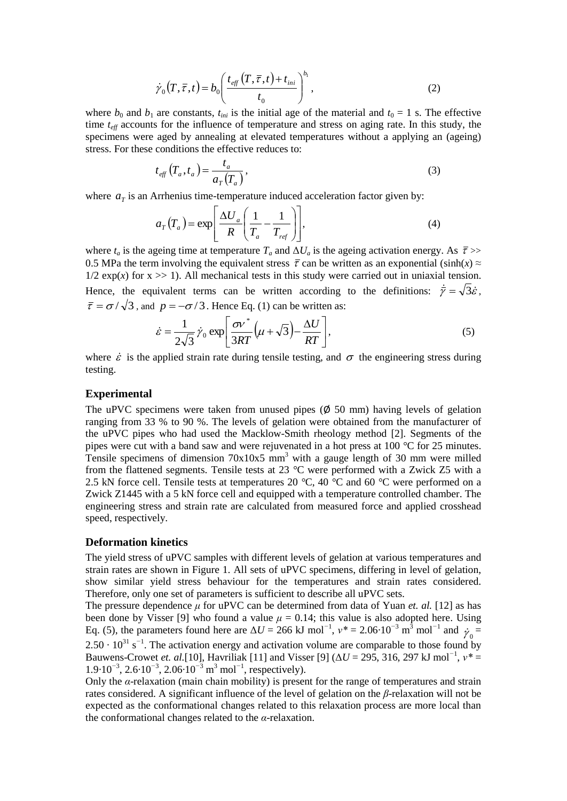$$
\dot{\gamma}_0(T,\overline{\tau},t) = b_0 \left( \frac{t_{\text{eff}}(T,\overline{\tau},t) + t_{\text{ini}}}{t_0} \right)^{b_1},\tag{2}
$$

where  $b_0$  and  $b_1$  are constants,  $t_{ini}$  is the initial age of the material and  $t_0 = 1$  s. The effective time  $t_{\text{eff}}$  accounts for the influence of temperature and stress on aging rate. In this study, the specimens were aged by annealing at elevated temperatures without a applying an (ageing) stress. For these conditions the effective reduces to:

$$
t_{\text{eff}}\left(T_a, t_a\right) = \frac{t_a}{a_T(T_a)},\tag{3}
$$

where  $a<sub>T</sub>$  is an Arrhenius time-temperature induced acceleration factor given by:

$$
a_{T}(T_a) = \exp\left[\frac{\Delta U_a}{R} \left(\frac{1}{T_a} - \frac{1}{T_{ref}}\right)\right],\tag{4}
$$

where  $t_a$  is the ageing time at temperature  $T_a$  and  $\Delta U_a$  is the ageing activation energy. As  $\bar{\tau}$  >> 0.5 MPa the term involving the equivalent stress  $\bar{\tau}$  can be written as an exponential (sinh(x)  $\approx$  $1/2 \exp(x)$  for  $x \gg 1$ ). All mechanical tests in this study were carried out in uniaxial tension. Hence, the equivalent terms can be written according to the definitions:  $\dot{\vec{\gamma}} = \sqrt{3}\dot{\varepsilon}$ ,  $\bar{\tau} = \sigma / \sqrt{3}$ , and  $p = -\sigma / 3$ . Hence Eq. (1) can be written as:

$$
\dot{\varepsilon} = \frac{1}{2\sqrt{3}} \dot{\gamma}_0 \exp\left[\frac{\sigma v^*}{3RT} \left(\mu + \sqrt{3}\right) - \frac{\Delta U}{RT}\right],\tag{5}
$$

where  $\dot{\varepsilon}$  is the applied strain rate during tensile testing, and  $\sigma$  the engineering stress during testing.

### **Experimental**

The uPVC specimens were taken from unused pipes  $(\phi$  50 mm) having levels of gelation ranging from 33 % to 90 %. The levels of gelation were obtained from the manufacturer of the uPVC pipes who had used the Macklow-Smith rheology method [2]. Segments of the pipes were cut with a band saw and were rejuvenated in a hot press at 100 *°*C for 25 minutes. Tensile specimens of dimension 70x10x5 mm<sup>3</sup> with a gauge length of 30 mm were milled from the flattened segments. Tensile tests at 23 *°*C were performed with a Zwick Z5 with a 2.5 kN force cell. Tensile tests at temperatures 20 *°*C, 40 *°*C and 60 *°*C were performed on a Zwick Z1445 with a 5 kN force cell and equipped with a temperature controlled chamber. The engineering stress and strain rate are calculated from measured force and applied crosshead speed, respectively.

#### **Deformation kinetics**

The yield stress of uPVC samples with different levels of gelation at various temperatures and strain rates are shown in Figure 1. All sets of uPVC specimens, differing in level of gelation, show similar yield stress behaviour for the temperatures and strain rates considered. Therefore, only one set of parameters is sufficient to describe all uPVC sets.

The pressure dependence *μ* for uPVC can be determined from data of Yuan *et. al.* [12] as has been done by Visser [9] who found a value  $\mu = 0.14$ ; this value is also adopted here. Using Eq. (5), the parameters found here are  $\Delta U = 266 \text{ kJ} \text{ mol}^{-1}$ ,  $v^* = 2.06 \cdot 10^{-3} \text{ m}^3 \text{ mol}^{-1}$  and  $\dot{\gamma}_0 =$ 2.50 · 10<sup>31</sup> s<sup>−1</sup>. The activation energy and activation volume are comparable to those found by Bauwens-Crowet *et. al.*[10], Havriliak [11] and Visser [9] ( $\Delta U = 295$ , 316, 297 kJ mol<sup>-1</sup>,  $v^* =$ 1*.*9*·*10*<sup>−</sup>*<sup>3</sup> , 2*.*6*·*10*<sup>−</sup>*<sup>3</sup> , 2*.*06*·*10*<sup>−</sup>*<sup>3</sup> m <sup>3</sup> mol*<sup>−</sup>*<sup>1</sup> , respectively).

Only the *α*-relaxation (main chain mobility) is present for the range of temperatures and strain rates considered. A significant influence of the level of gelation on the *β*-relaxation will not be expected as the conformational changes related to this relaxation process are more local than the conformational changes related to the *α*-relaxation.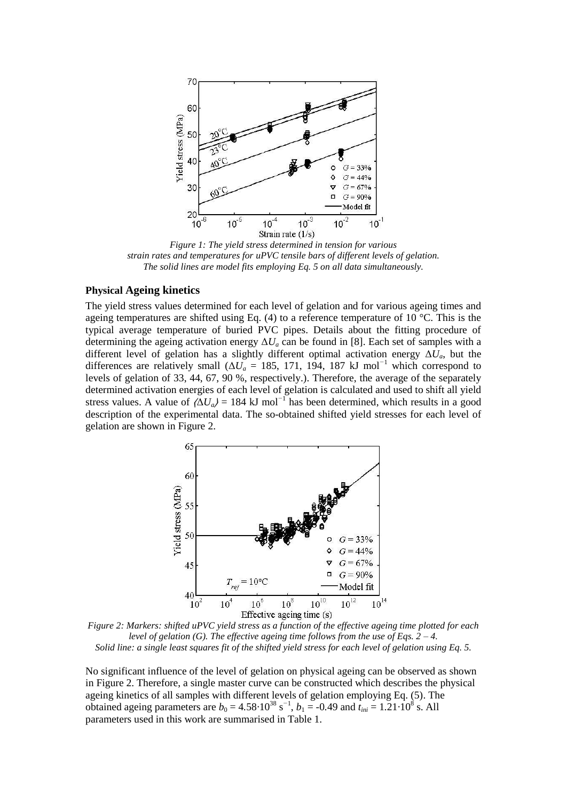

*Figure 1: The yield stress determined in tension for various strain rates and temperatures for uPVC tensile bars of different levels of gelation. The solid lines are model fits employing Eq. 5 on all data simultaneously.*

## **Physical Ageing kinetics**

The yield stress values determined for each level of gelation and for various ageing times and ageing temperatures are shifted using Eq. (4) to a reference temperature of 10  $^{\circ}$ C. This is the typical average temperature of buried PVC pipes. Details about the fitting procedure of determining the ageing activation energy  $\Delta U_a$  can be found in [8]. Each set of samples with a different level of gelation has a slightly different optimal activation energy  $\Delta U_a$ , but the differences are relatively small ( $\Delta U_a$  = 185, 171, 194, 187 kJ mol<sup>-1</sup> which correspond to levels of gelation of 33, 44, 67, 90 %, respectively.). Therefore, the average of the separately determined activation energies of each level of gelation is calculated and used to shift all yield stress values. A value of  $\langle \Delta U_a \rangle$  = 184 kJ mol<sup>-1</sup> has been determined, which results in a good description of the experimental data. The so-obtained shifted yield stresses for each level of gelation are shown in Figure 2.



*Figure 2: Markers: shifted uPVC yield stress as a function of the effective ageing time plotted for each level of gelation (G). The effective ageing time follows from the use of Eqs. 2 – 4. Solid line: a single least squares fit of the shifted yield stress for each level of gelation using Eq. 5.*

No significant influence of the level of gelation on physical ageing can be observed as shown in Figure 2. Therefore, a single master curve can be constructed which describes the physical ageing kinetics of all samples with different levels of gelation employing Eq. (5). The obtained ageing parameters are  $b_0 = 4.58 \cdot 10^{38} \text{ s}^{-1}$ ,  $b_1 = -0.49$  and  $t_{ini} = 1.21 \cdot 10^8 \text{ s}$ . All parameters used in this work are summarised in Table 1.